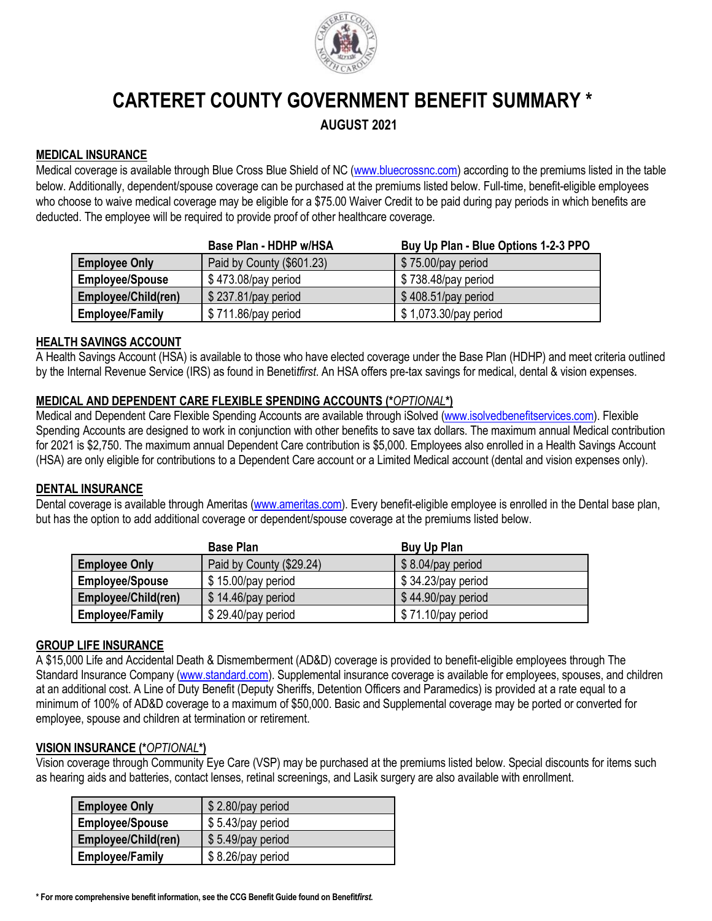

# **CARTERET COUNTY GOVERNMENT BENEFIT SUMMARY \***

**AUGUST 2021**

## **MEDICAL INSURANCE**

Medical coverage is available through Blue Cross Blue Shield of NC [\(www.bluecrossnc.com\)](http://www.bluecrossnc.com/) according to the premiums listed in the table below. Additionally, dependent/spouse coverage can be purchased at the premiums listed below. Full-time, benefit-eligible employees who choose to waive medical coverage may be eligible for a \$75.00 Waiver Credit to be paid during pay periods in which benefits are deducted. The employee will be required to provide proof of other healthcare coverage.

|                        | Base Plan - HDHP w/HSA    | Buy Up Plan - Blue Options 1-2-3 PPO |
|------------------------|---------------------------|--------------------------------------|
| <b>Employee Only</b>   | Paid by County (\$601.23) | \$75.00/pay period                   |
| <b>Employee/Spouse</b> | $$473.08$ /pay period     | \$738.48/pay period                  |
| Employee/Child(ren)    | \$237.81/pay period       | $$408.51$ /pay period                |
| <b>Employee/Family</b> | $$711.86$ /pay period     | \$1,073.30/pay period                |

## **HEALTH SAVINGS ACCOUNT**

A Health Savings Account (HSA) is available to those who have elected coverage under the Base Plan (HDHP) and meet criteria outlined by the Internal Revenue Service (IRS) as found in Beneti*tfirst*. An HSA offers pre-tax savings for medical, dental & vision expenses.

## **MEDICAL AND DEPENDENT CARE FLEXIBLE SPENDING ACCOUNTS (\****OPTIONAL***\*)**

Medical and Dependent Care Flexible Spending Accounts are available through iSolved [\(www.isolvedbenefitservices.com\)](http://www.isolvedbenefitservices.com/). Flexible Spending Accounts are designed to work in conjunction with other benefits to save tax dollars. The maximum annual Medical contribution for 2021 is \$2,750. The maximum annual Dependent Care contribution is \$5,000. Employees also enrolled in a Health Savings Account (HSA) are only eligible for contributions to a Dependent Care account or a Limited Medical account (dental and vision expenses only).

## **DENTAL INSURANCE**

Dental coverage is available through Ameritas [\(www.ameritas.com\)](http://www.ameritas.com/). Every benefit-eligible employee is enrolled in the Dental base plan, but has the option to add additional coverage or dependent/spouse coverage at the premiums listed below.

|                        | <b>Base Plan</b>         | Buy Up Plan        |
|------------------------|--------------------------|--------------------|
| <b>Employee Only</b>   | Paid by County (\$29.24) | \$8.04/pay period  |
| <b>Employee/Spouse</b> | $$15.00$ /pay period     | \$34.23/pay period |
| Employee/Child(ren)    | $$14.46$ /pay period     | \$44.90/pay period |
| <b>Employee/Family</b> | \$29.40/pay period       | \$71.10/pay period |

## **GROUP LIFE INSURANCE**

A \$15,000 Life and Accidental Death & Dismemberment (AD&D) coverage is provided to benefit-eligible employees through The Standard Insurance Company [\(www.standard.com\)](http://www.standard.com/). Supplemental insurance coverage is available for employees, spouses, and children at an additional cost. A Line of Duty Benefit (Deputy Sheriffs, Detention Officers and Paramedics) is provided at a rate equal to a minimum of 100% of AD&D coverage to a maximum of \$50,000. Basic and Supplemental coverage may be ported or converted for employee, spouse and children at termination or retirement.

### **VISION INSURANCE (\****OPTIONAL***\*)**

Vision coverage through Community Eye Care (VSP) may be purchased at the premiums listed below. Special discounts for items such as hearing aids and batteries, contact lenses, retinal screenings, and Lasik surgery are also available with enrollment.

| <b>Employee Only</b>   | $$2.80$ /pay period |
|------------------------|---------------------|
| <b>Employee/Spouse</b> | \$5.43/pay period   |
| Employee/Child(ren)    | \$5.49/pay period   |
| <b>Employee/Family</b> | \$8.26/pay period   |

**\* For more comprehensive benefit information, see the CCG Benefit Guide found on Benefit***first***.**